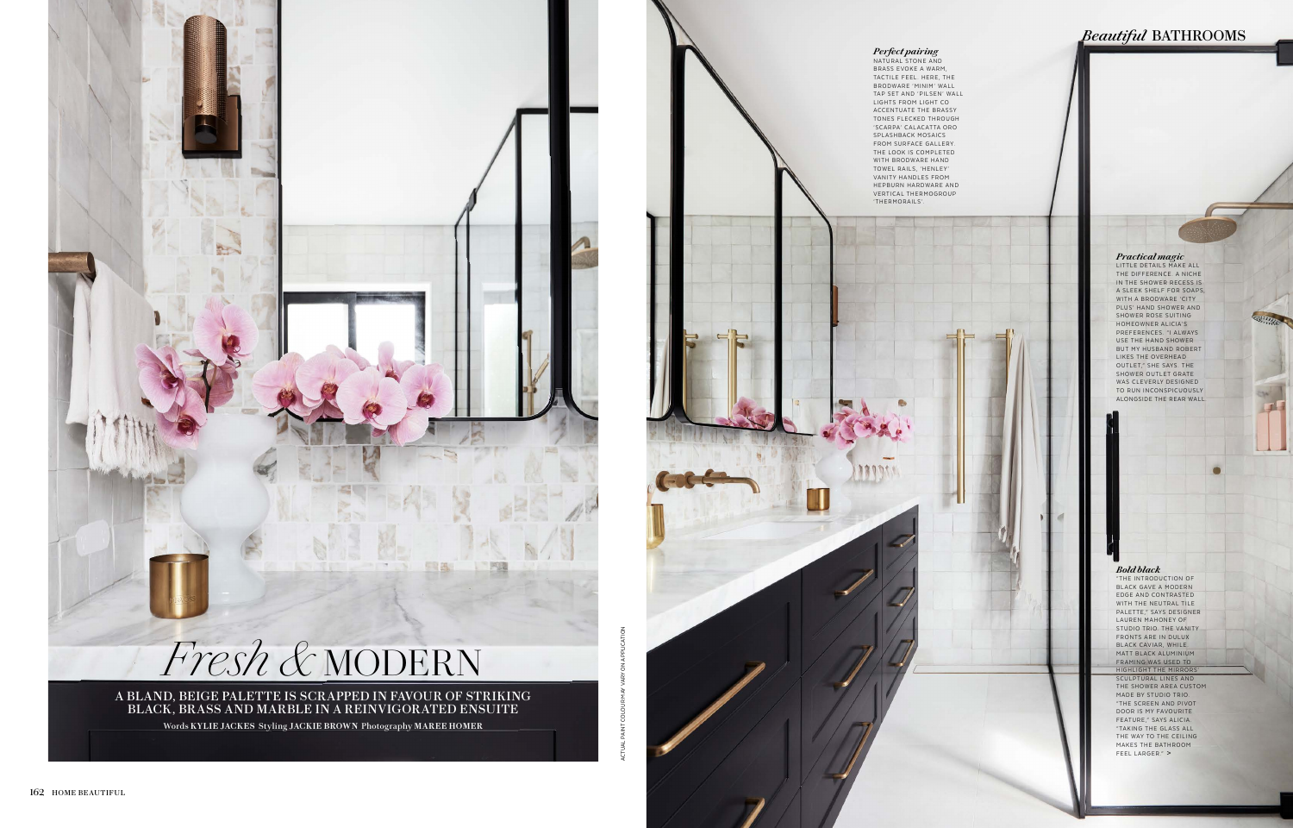### *Bold black*

"THE INTRODUCTION OF BLACK GAVE A MODERN EDGE AND CONTRASTED WITH THE NEUTRAL TILE PALETTE," SAYS DESIGNER LAUREN MAHONEY OF STUDIO TRIO. THE VANITY FRONTS ARE IN DULUX BLACK CAVIAR, WHILE. MATT BLACK ALUMINIUM FRAMING WAS USED TO HIGHLIGHT THE MIRRORS SCULPTURAL LINES AND THE SHOWER AREA CUSTOM MADE BY STUDIO TRIO. "THE SCREEN AND PIVOT DOOR IS MY FAVOURITE FEATURE," SAYS ALICIA. "TAKING THE GLASS ALL THE WAY TO THE CEILING MAKES THE BATHROOM FEEL LARGER." **>**

*<i>Practical magic*<br>LITTLE DETAILS MAKE ALL THE DIFFERENCE. A NICHE IN THE SHOWER RECESS IS A SLEEK SHELF FOR SOAPS. WITH A BRODWARE 'CITY PLUS' HAND SHOWER AND SHOWER ROSE SUITING HOMEOWNER ALICIA'S PREFERENCES. "I ALWAYS USE THE HAND SHOWER BUT MY HUSBAND ROBERT LIKES THE OVERHEAD<br>OUTLET," SHE SAYS. THE SHOWER OUTLET GRATE WAS CLEVERLY DESIGNED TO RUN INCONSPICUOUSLY ALONGSIDE THE REAR WALL.





ACTUAL PAINT COLOUR MAY VARY ON APPLICATION

# *Beautiful* BATHROOMS